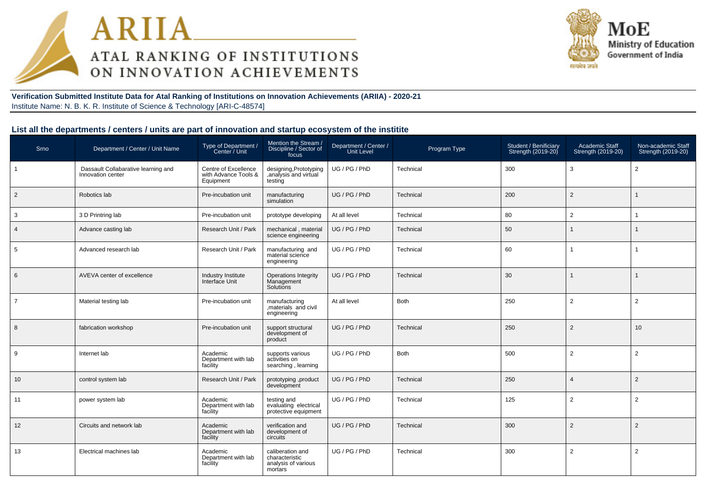



**Verification Submitted Institute Data for Atal Ranking of Institutions on Innovation Achievements (ARIIA) - 2020-21**Institute Name: N. B. K. R. Institute of Science & Technology [ARI-C-48574]

### **List all the departments / centers / units are part of innovation and startup ecosystem of the institite**

| Srno           | Department / Center / Unit Name                          | Type of Department /<br>Center / Unit                     | Mention the Stream<br>Discipline / Sector of<br>focus                | Department / Center /<br><b>Unit Level</b> | Program Type | Student / Benificiary<br>Strength (2019-20) | Academic Staff<br>Strength (2019-20) | Non-academic Staff<br>Strength (2019-20) |
|----------------|----------------------------------------------------------|-----------------------------------------------------------|----------------------------------------------------------------------|--------------------------------------------|--------------|---------------------------------------------|--------------------------------------|------------------------------------------|
|                | Dassault Collabarative learning and<br>Innovation center | Centre of Excellence<br>with Advance Tools &<br>Equipment | designing, Prototyping<br>, analysis and virtual<br>testing          | UG/PG/PhD                                  | Technical    | 300                                         | 3                                    | 2                                        |
| $\overline{2}$ | Robotics lab                                             | Pre-incubation unit                                       | manufacturing<br>simulation                                          | UG / PG / PhD                              | Technical    | 200                                         | $\overline{2}$                       |                                          |
| 3              | 3 D Printring lab                                        | Pre-incubation unit                                       | prototype developing                                                 | At all level                               | Technical    | 80                                          | $\overline{2}$                       |                                          |
| $\overline{4}$ | Advance casting lab                                      | Research Unit / Park                                      | mechanical, material<br>science engineering                          | UG / PG / PhD                              | Technical    | 50                                          |                                      |                                          |
| 5              | Advanced research lab                                    | Research Unit / Park                                      | manufacturing and<br>material science<br>engineering                 | UG / PG / PhD                              | Technical    | 60                                          | -1                                   |                                          |
| 6              | AVEVA center of excellence                               | Industry Institute<br>Interface Unit                      | Operations Integrity<br>Management<br>Solutions                      | UG / PG / PhD                              | Technical    | 30                                          |                                      |                                          |
| $\overline{7}$ | Material testing lab                                     | Pre-incubation unit                                       | manufacturing<br>materials and civil<br>engineering                  | At all level                               | <b>Both</b>  | 250                                         | $\overline{2}$                       | $\overline{2}$                           |
| 8              | fabrication workshop                                     | Pre-incubation unit                                       | support structural<br>development of<br>product                      | UG / PG / PhD                              | Technical    | 250                                         | $\overline{2}$                       | 10 <sup>1</sup>                          |
| 9              | Internet lab                                             | Academic<br>Department with lab<br>facility               | supports various<br>activities on<br>searching, learning             | UG / PG / PhD                              | <b>Both</b>  | 500                                         | $\overline{2}$                       | $\overline{2}$                           |
| 10             | control system lab                                       | Research Unit / Park                                      | prototyping ,product<br>development                                  | UG / PG / PhD                              | Technical    | 250                                         | $\overline{4}$                       | 2                                        |
| 11             | power system lab                                         | Academic<br>Department with lab<br>facility               | testing and<br>evaluating electrical<br>protective equipment         | UG/PG/PhD                                  | Technical    | 125                                         | $\overline{2}$                       | 2                                        |
| 12             | Circuits and network lab                                 | Academic<br>Department with lab<br>facility               | verification and<br>development of<br>circuits                       | UG / PG / PhD                              | Technical    | 300                                         | $\overline{2}$                       | $\overline{2}$                           |
| 13             | Electrical machines lab                                  | Academic<br>Department with lab<br>facility               | caliberation and<br>characteristic<br>analysis of various<br>mortars | UG / PG / PhD                              | Technical    | 300                                         | $\overline{2}$                       | $\overline{2}$                           |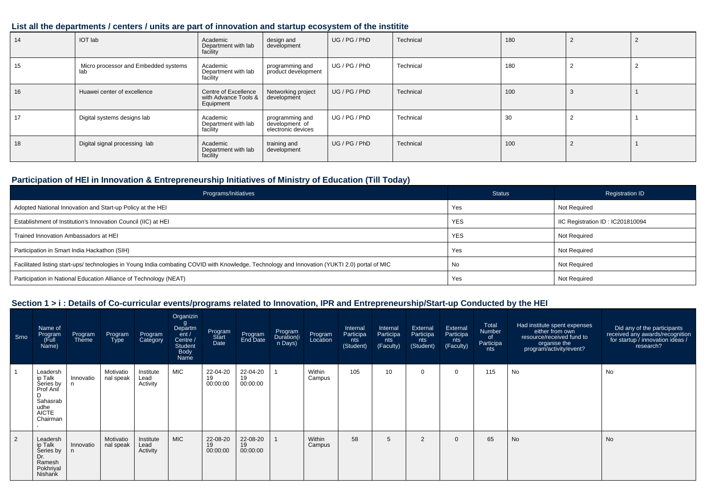### **List all the departments / centers / units are part of innovation and startup ecosystem of the institite**

| 14 | <b>IOT</b> lab                              | Academic<br>Department with lab<br>facility               | design and<br>development                               | UG / PG / PhD | Technical | 180 |  |
|----|---------------------------------------------|-----------------------------------------------------------|---------------------------------------------------------|---------------|-----------|-----|--|
| 15 | Micro processor and Embedded systems<br>lab | Academic<br>Department with lab<br>facility               | programming and<br>product development                  | UG / PG / PhD | Technical | 180 |  |
| 16 | Huawei center of excellence                 | Centre of Excellence<br>with Advance Tools &<br>Equipment | Networking project<br>development                       | UG/PG/PhD     | Technical | 100 |  |
| 17 | Digital systems designs lab                 | Academic<br>Department with lab<br>facility               | programming and<br>development of<br>electronic devices | UG / PG / PhD | Technical | 30  |  |
| 18 | Digital signal processing lab               | Academic<br>Department with lab<br>facility               | training and<br>development                             | UG/PG/PhD     | Technical | 100 |  |

## **Participation of HEI in Innovation & Entrepreneurship Initiatives of Ministry of Education (Till Today)**

| Programs/Initiatives                                                                                                                           | <b>Status</b> | <b>Registration ID</b>           |
|------------------------------------------------------------------------------------------------------------------------------------------------|---------------|----------------------------------|
| Adopted National Innovation and Start-up Policy at the HEI                                                                                     | Yes           | Not Required                     |
| Establishment of Institution's Innovation Council (IIC) at HEI                                                                                 | <b>YES</b>    | IIC Registration ID: IC201810094 |
| Trained Innovation Ambassadors at HEI                                                                                                          | <b>YES</b>    | Not Required                     |
| Participation in Smart India Hackathon (SIH)                                                                                                   | Yes           | Not Required                     |
| Facilitated listing start-ups/ technologies in Young India combating COVID with Knowledge, Technology and Innovation (YUKTI 2.0) portal of MIC | No            | Not Required                     |
| Participation in National Education Alliance of Technology (NEAT)                                                                              | Yes           | Not Required                     |

## **Section 1 > i : Details of Co-curricular events/programs related to Innovation, IPR and Entrepreneurship/Start-up Conducted by the HEI**

| Srno | Name of<br>Program<br>Full)<br>Name)                                                          | Program<br>Theme | Program<br><b>Type</b> | Program<br>Category           | Organizin<br>g<br>Departm<br>ent/<br>Centre /<br><b>Student</b><br>Body<br>Name | Program<br>Start<br>Date   | Program<br>End Date        | Program<br>Duration(i<br>n Days) | Program<br>Location | Internal<br>Participa<br>nts<br>(Student) | Internal<br>Participa<br>nts<br>(Faculty) | External<br>Participa<br>nts<br>(Student) | External<br>Participa<br>nts<br>(Faculty) | Total<br>Number<br>of<br>Participa<br>nts | Had institute spent expenses<br>either from own<br>resource/received fund to<br>organise the<br>?program/activity/event | Did any of the participants<br>received any awards/recognition<br>for startup / innovation ideas /<br>research? |
|------|-----------------------------------------------------------------------------------------------|------------------|------------------------|-------------------------------|---------------------------------------------------------------------------------|----------------------------|----------------------------|----------------------------------|---------------------|-------------------------------------------|-------------------------------------------|-------------------------------------------|-------------------------------------------|-------------------------------------------|-------------------------------------------------------------------------------------------------------------------------|-----------------------------------------------------------------------------------------------------------------|
|      | Leadersh<br>ip Talk<br>Series by<br>Prof Anil<br>Sahasrab<br>udhe<br><b>AICTE</b><br>Chairman | Innovatio        | Motivatio<br>nal speak | Institute<br>Lead<br>Activity | <b>MIC</b>                                                                      | 22-04-20<br>19<br>00:00:00 | 22-04-20<br>19<br>00:00:00 |                                  | Within<br>Campus    | 105                                       | 10                                        |                                           | 0                                         | 115                                       | No                                                                                                                      | <b>No</b>                                                                                                       |
| 2    | Leadersh<br>ip Talk<br>Series by<br>Dr.<br>Ramesh<br>Pokhriyal<br>Nishank                     | Innovatio<br>n   | Motivatio<br>nal speak | Institute<br>Lead<br>Activity | <b>MIC</b>                                                                      | 22-08-20<br>19<br>00:00:00 | 22-08-20<br>19<br>00:00:00 |                                  | Within<br>Campus    | 58                                        | 5                                         | $\overline{2}$                            | $\mathbf{0}$                              | 65                                        | <b>No</b>                                                                                                               | <b>No</b>                                                                                                       |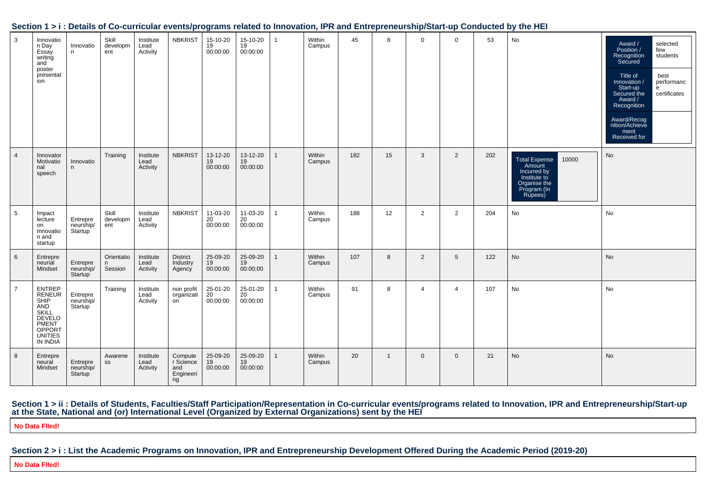| $\mathbf{3}$    | Innovatio<br>n Day<br>Essay<br>writing<br>and<br>poster<br>presentat<br>ion                                                                   | Innovatio<br>n                                | Skill<br>developm<br>ent   | Institute<br>Lead<br>Activity | <b>NBKRIST</b>                                 | 15-10-20<br>19<br>00:00:00 | 15-10-20<br>19<br>00:00:00 | 1            | Within<br>Campus | 45  | 8            | 0              | $\mathbf 0$     | 53  | No                                                                                                        | Award /<br>Position /<br>selected<br>few<br>students<br>Recognition<br>Secured<br>Title of<br>best<br>performanc<br>Innovation /<br>Start-up<br>e<br>Secured the<br>certificates<br>Award /<br>Recognition<br>Award/Recog<br>nition/Achieve<br>ment<br>Received for |
|-----------------|-----------------------------------------------------------------------------------------------------------------------------------------------|-----------------------------------------------|----------------------------|-------------------------------|------------------------------------------------|----------------------------|----------------------------|--------------|------------------|-----|--------------|----------------|-----------------|-----|-----------------------------------------------------------------------------------------------------------|---------------------------------------------------------------------------------------------------------------------------------------------------------------------------------------------------------------------------------------------------------------------|
| $\overline{4}$  | Innovator<br>Motivatio<br>nal<br>speech                                                                                                       | Innovatio<br>n                                | Training                   | Institute<br>Lead<br>Activity | <b>NBKRIST</b>                                 | 13-12-20<br>19<br>00:00:00 | 13-12-20<br>19<br>00:00:00 | $\mathbf{1}$ | Within<br>Campus | 182 | 15           | 3              | $\overline{2}$  | 202 | Total Expense<br>10000<br>Amount<br>Incurred by<br>Institute to<br>Organise the<br>Program (In<br>Rupees) | No                                                                                                                                                                                                                                                                  |
| $5\phantom{.0}$ | Impact<br>lecture<br>on<br>Innovatio<br>n and<br>startup                                                                                      | Entrepre<br>neurship/<br><b>Startup</b>       | Skill<br>developm<br>ent   | Institute<br>Lead<br>Activity | <b>NBKRIST</b>                                 | 11-03-20<br>20<br>00:00:00 | 11-03-20<br>20<br>00:00:00 | $\mathbf{1}$ | Within<br>Campus | 188 | 12           | $\overline{2}$ | 2               | 204 | No                                                                                                        | No                                                                                                                                                                                                                                                                  |
| $6\phantom{1}6$ | Entrepre<br>neurial<br>Mindset                                                                                                                | Entrepre<br>neurship/<br>Startup <sup>1</sup> | Orientatio<br>n<br>Session | Institute<br>Lead<br>Activity | District<br>Industry<br>Agency                 | 25-09-20<br>19<br>00:00:00 | 25-09-20<br>19<br>00:00:00 | $\mathbf{1}$ | Within<br>Campus | 107 | 8            | $\overline{2}$ | $5\phantom{.0}$ | 122 | No                                                                                                        | No                                                                                                                                                                                                                                                                  |
| $\overline{7}$  | <b>ENTREP</b><br><b>RENEUR</b><br>SHIP<br>AND<br><b>SKILL</b><br><b>DEVELO</b><br><b>PMENT</b><br>OPPORT<br><b>UNITIES</b><br><b>IN INDIA</b> | Entrepre<br>neurship/<br>Startup              | Training                   | Institute<br>Lead<br>Activity | non profit<br>organizati<br>on                 | 25-01-20<br>20<br>00:00:00 | 25-01-20<br>20<br>00:00:00 | $\mathbf{1}$ | Within<br>Campus | 91  | 8            | 4              | $\overline{4}$  | 107 | No                                                                                                        | No                                                                                                                                                                                                                                                                  |
| 8               | Entrepre<br>neural<br>Mindset                                                                                                                 | Entrepre<br>neurship/<br>Startup              | Awarene<br>SS              | Institute<br>Lead<br>Activity | Compute<br>r Science<br>and<br>Engineeri<br>ng | 25-09-20<br>19<br>00:00:00 | 25-09-20<br>19<br>00:00:00 | $\mathbf{1}$ | Within<br>Campus | 20  | $\mathbf{1}$ | $\mathbf 0$    | $\mathbf{0}$    | 21  | No                                                                                                        | No                                                                                                                                                                                                                                                                  |

### **Section 1 > i : Details of Co-curricular events/programs related to Innovation, IPR and Entrepreneurship/Start-up Conducted by the HEI**

Section 1 > ii : Details of Students, Faculties/Staff Participation/Representation in Co-curricular events/programs related to Innovation, IPR and Entrepreneurship/Start-up<br>at the State, National and (or) International Lev

**No Data Flled!**

**Section 2 > i : List the Academic Programs on Innovation, IPR and Entrepreneurship Development Offered During the Academic Period (2019-20)**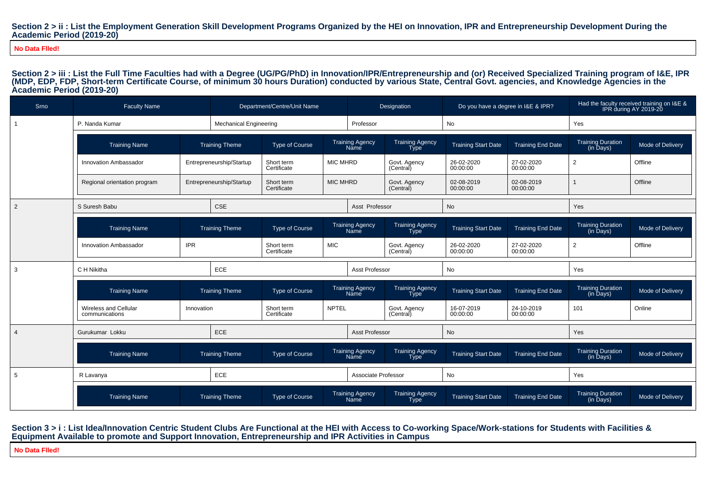### Section 2 > ii : List the Employment Generation Skill Development Programs Organized by the HEI on Innovation, IPR and Entrepreneurship Development During the **Academic Period (2019-20)**

**No Data Flled!**

Section 2 > iii : List the Full Time Faculties had with a Degree (UG/PG/PhD) in Innovation/IPR/Entrepreneurship and (or) Received Specialized Training program of I&E, IPR **(MDP, EDP, FDP, Short-term Certificate Course, of minimum 30 hours Duration) conducted by various State, Central Govt. agencies, and Knowledge Agencies in theAcademic Period (2019-20)**

| Srno           | <b>Faculty Name</b>                     |            |                               | Department/Centre/Unit Name |                 |                                | Designation                           | Do you have a degree in I&E & IPR? |                          |                                                     | Had the faculty received training on I&E &<br>IPR during AY 2019-20 |
|----------------|-----------------------------------------|------------|-------------------------------|-----------------------------|-----------------|--------------------------------|---------------------------------------|------------------------------------|--------------------------|-----------------------------------------------------|---------------------------------------------------------------------|
|                | P. Nanda Kumar                          |            | <b>Mechanical Engineering</b> |                             |                 | Professor                      |                                       | No                                 |                          | Yes                                                 |                                                                     |
|                | <b>Training Name</b>                    |            | <b>Training Theme</b>         | Type of Course              |                 | <b>Training Agency</b><br>Name | Training Agency<br>Type               | <b>Training Start Date</b>         | <b>Training End Date</b> | Training Duration<br>(in Days)                      | Mode of Delivery                                                    |
|                | Innovation Ambassador                   |            | Entrepreneurship/Startup      | Short term<br>Certificate   | <b>MIC MHRD</b> |                                | Govt. Agency<br>(Central)             | 26-02-2020<br>00:00:00             | 27-02-2020<br>00:00:00   | $\overline{2}$                                      | Offline                                                             |
|                | Regional orientation program            |            | Entrepreneurship/Startup      | Short term<br>Certificate   | <b>MIC MHRD</b> |                                | Govt. Agency<br>(Central)             | 02-08-2019<br>00:00:00             | 02-08-2019<br>00:00:00   |                                                     | Offline                                                             |
| 2              | S Suresh Babu                           |            | CSE                           |                             |                 | Asst Professor                 |                                       | No                                 |                          | Yes                                                 |                                                                     |
|                | <b>Training Name</b>                    |            | <b>Training Theme</b>         | <b>Type of Course</b>       |                 | Training Agency<br>Năme        | Training Agency<br>Type               | <b>Training Start Date</b>         | <b>Training End Date</b> | Training Duration<br>(in Days)                      | Mode of Delivery                                                    |
|                | Innovation Ambassador                   | <b>IPR</b> |                               | Short term<br>Certificate   | <b>MIC</b>      |                                | Govt. Agency<br>(Central)             | 26-02-2020<br>00:00:00             | 27-02-2020<br>00:00:00   | $\overline{2}$                                      | Offline                                                             |
| 3              | C H Nikitha                             |            | ECE                           |                             |                 | Asst Professor                 |                                       | No                                 |                          | Yes                                                 |                                                                     |
|                | <b>Training Name</b>                    |            | <b>Training Theme</b>         | <b>Type of Course</b>       |                 | <b>Training Agency</b><br>Name | <b>Training Agency</b><br><b>Type</b> | <b>Training Start Date</b>         | <b>Training End Date</b> | Training Duration<br>(in Days)                      | Mode of Delivery                                                    |
|                | Wireless and Cellular<br>communications | Innovation |                               | Short term<br>Certificate   | <b>NPTEL</b>    |                                | Govt. Agency<br>(Central)             | 16-07-2019<br>00:00:00             | 24-10-2019<br>00:00:00   | 101                                                 | Online                                                              |
| $\overline{4}$ | Gurukumar Lokku                         |            | ECE                           |                             |                 | <b>Asst Professor</b>          |                                       | <b>No</b>                          |                          | Yes                                                 |                                                                     |
|                | <b>Training Name</b>                    |            | <b>Training Theme</b>         | Type of Course              |                 | <b>Training Agency</b><br>Name | <b>Training Agency</b><br><b>Type</b> | <b>Training Start Date</b>         | <b>Training End Date</b> | <b>Training Duration</b><br>$(in \overline{D}$ ays) | Mode of Delivery                                                    |
| 5              | R Lavanya                               |            | ECE                           |                             |                 | Associate Professor            |                                       | No                                 |                          | Yes                                                 |                                                                     |
|                | <b>Training Name</b>                    |            | <b>Training Theme</b>         | <b>Type of Course</b>       |                 | <b>Training Agency</b><br>Name | <b>Training Agency</b><br><b>Type</b> | <b>Training Start Date</b>         | <b>Training End Date</b> | <b>Training Duration</b><br>(in Days)               | Mode of Delivery                                                    |

### **Section 3 > i : List Idea/Innovation Centric Student Clubs Are Functional at the HEI with Access to Co-working Space/Work-stations for Students with Facilities &Equipment Available to promote and Support Innovation, Entrepreneurship and IPR Activities in Campus**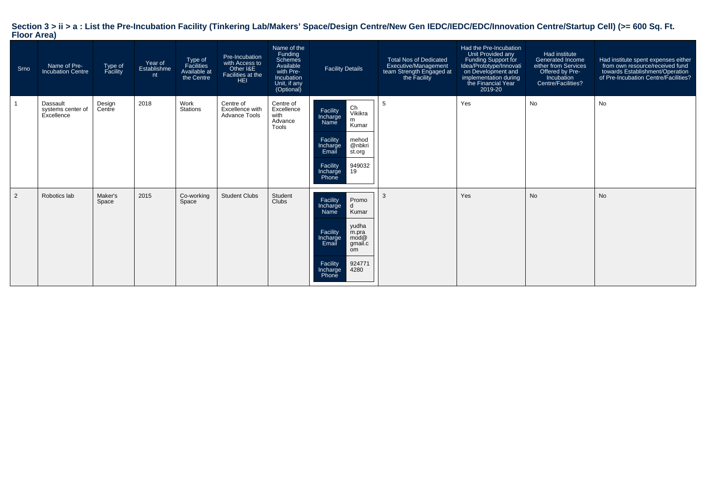| Srno | Name of Pre-<br><b>Incubation Centre</b>    | Type of<br>Facility | Year of<br>Establishme<br>nt | Type of<br>Facilities<br>Available at<br>the Centre | Pre-Incubation<br>with Access to<br>Other I&E<br>Facilities at the<br>HEI | Name of the<br>Funding<br>Schemes<br>Available<br>with Pre-<br>Incubation<br>Unit, if any<br>(Optional) | <b>Facility Details</b>                                                                                                                                                            | Total Nos of Dedicated<br>Executive/Management<br>team Strength Engaged at<br>the Facility | Had the Pre-Incubation<br>Unit Provided any<br>Funding Support for<br>Idea/Prototype/Innovati<br>on Development and<br>implementation during<br>the Financial Year<br>2019-20 | Had institute<br>Generated Income<br>either from Services<br>Offered by Pre-<br>Incubation<br>Centre/Facilities? | Had institute spent expenses either<br>from own resource/received fund<br>towards Establishment/Operation<br>of Pre-Incubation Centre/Facilities? |
|------|---------------------------------------------|---------------------|------------------------------|-----------------------------------------------------|---------------------------------------------------------------------------|---------------------------------------------------------------------------------------------------------|------------------------------------------------------------------------------------------------------------------------------------------------------------------------------------|--------------------------------------------------------------------------------------------|-------------------------------------------------------------------------------------------------------------------------------------------------------------------------------|------------------------------------------------------------------------------------------------------------------|---------------------------------------------------------------------------------------------------------------------------------------------------|
|      | Dassault<br>systems center of<br>Excellence | Design<br>Centre    | 2018                         | Work<br>Stations                                    | Centre of<br>Excellence with<br><b>Advance Tools</b>                      | Centre of<br>Excellence<br>with<br>Advance<br>Tools                                                     | Ch<br>Facility<br>Vikikra<br>Incharge<br>m<br>Name<br>Kumar<br>Facility<br>mehod<br>@nbkri<br>Incharge<br>Email<br>st.org<br>Facility<br>949032<br>19<br>Incharge<br>Phone         | 5                                                                                          | Yes                                                                                                                                                                           | No                                                                                                               | <b>No</b>                                                                                                                                         |
| 2    | Robotics lab                                | Maker's<br>Space    | 2015                         | Co-working<br>Space                                 | <b>Student Clubs</b>                                                      | Student<br>Clubs                                                                                        | Facility<br>Promo<br>Incharge<br>d<br>Kumar<br>Name<br>yudha<br>Facility<br>m.pra<br>mod@<br>Incharge<br>gmail.c<br>Email<br>om<br>Facility<br>924771<br>4280<br>Incharge<br>Phone | 3                                                                                          | Yes                                                                                                                                                                           | <b>No</b>                                                                                                        | <b>No</b>                                                                                                                                         |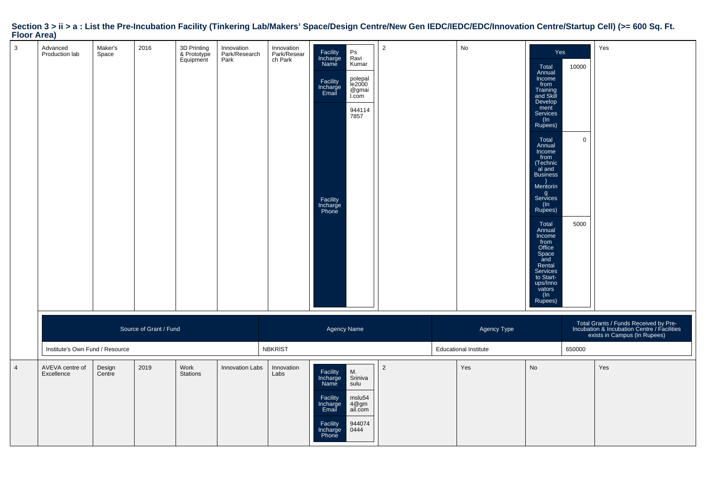| $1001$ ALCO    |                                 |                  |                        |                                         |                                     |                                      |                                                                                                |                                                                                         |                |                                             |                                                                                                                                                                                                                                                                                                                                                                                                 |                                 |                                                                                                                      |
|----------------|---------------------------------|------------------|------------------------|-----------------------------------------|-------------------------------------|--------------------------------------|------------------------------------------------------------------------------------------------|-----------------------------------------------------------------------------------------|----------------|---------------------------------------------|-------------------------------------------------------------------------------------------------------------------------------------------------------------------------------------------------------------------------------------------------------------------------------------------------------------------------------------------------------------------------------------------------|---------------------------------|----------------------------------------------------------------------------------------------------------------------|
| $\mathbf{3}$   | Advanced<br>Production lab      | Maker's<br>Space | 2016                   | 3D Printing<br>& Prototype<br>Equipment | Innovation<br>Park/Research<br>Park | Innovation<br>Park/Resear<br>ch Park | Facility<br>Incharge<br>Name<br>Facility<br>Incharge<br>Email<br>Facility<br>Incharge<br>Phone | $\mathsf{Ps}$<br>Ravi<br>Kumar<br>polepal<br>le2000<br>@gmai<br>I.com<br>944114<br>7857 | $\overline{2}$ | No                                          | Yes<br>Total<br>Annual<br>Income<br>from<br>Training<br>and Skill<br>Develop<br>ment<br>Services<br>(In<br>Rupees)<br>Total<br>Annual<br>Income<br>from<br>(Technic<br>al and<br><b>Business</b><br>Mentorin<br>g<br>Services<br>$(\ln$<br>Rupees)<br>Total<br>Annual<br>Income<br>from<br>Office<br>Space<br>and<br>Rental<br>Services<br>to Start-<br>ups/Inno<br>vators<br>$(\ln$<br>Rupees) | 10000<br>$\overline{0}$<br>5000 | Yes                                                                                                                  |
|                | Institute's Own Fund / Resource |                  | Source of Grant / Fund |                                         |                                     | <b>NBKRIST</b>                       | Agency Name                                                                                    |                                                                                         |                | Agency Type<br><b>Educational Institute</b> |                                                                                                                                                                                                                                                                                                                                                                                                 | 650000                          | Total Grants / Funds Received by Pre-<br>Incubation & Incubation Centre / Facilities<br>exists in Campus (In Rupees) |
| $\overline{4}$ | AVEVA centre of<br>Excellence   | Design<br>Centre | 2019                   | Work<br><b>Stations</b>                 | Innovation Labs                     | Innovation<br>Labs                   | Facility<br>Incharge<br>Name<br>Facility<br>Incharge<br>Email<br>Facility<br>Incharge<br>Phone | M.<br>Sriniva<br>sulu<br>mslu54<br>4@gm<br>ail.com<br>944074<br>0444                    | $\overline{2}$ | Yes                                         | No                                                                                                                                                                                                                                                                                                                                                                                              |                                 | Yes                                                                                                                  |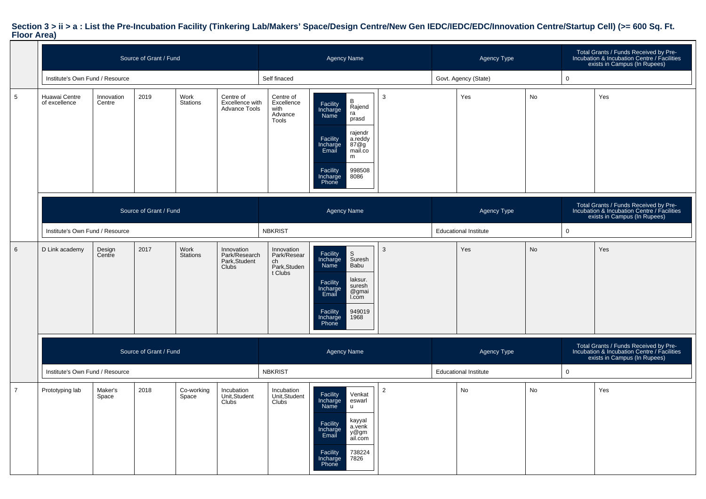|                |                                 |                      | Source of Grant / Fund |                         |                                                       |                                                           | <b>Agency Name</b>                                                                                                                                                                           |                | Agency Type                  |           |              | Total Grants / Funds Received by Pre-<br>Incubation & Incubation Centre / Facilities<br>exists in Campus (In Rupees) |
|----------------|---------------------------------|----------------------|------------------------|-------------------------|-------------------------------------------------------|-----------------------------------------------------------|----------------------------------------------------------------------------------------------------------------------------------------------------------------------------------------------|----------------|------------------------------|-----------|--------------|----------------------------------------------------------------------------------------------------------------------|
|                | Institute's Own Fund / Resource |                      |                        |                         |                                                       | Self finaced                                              |                                                                                                                                                                                              |                | Govt. Agency (State)         |           | $\mathbf 0$  |                                                                                                                      |
| 5              | Huawai Centre<br>of excellence  | Innovation<br>Centre | 2019                   | Work<br>Stations        | Centre of<br>Excellence with<br><b>Advance Tools</b>  | Centre of<br>Excellence<br>with<br>Advance<br>Tools       | B<br>Facility<br>Rajend<br>Incharge<br>ra<br>Name<br>prasd<br>rajendr<br>Facility<br>a.reddy<br>Incharge<br>87@g<br>Email<br>mail.co<br>m<br>Facility<br>998508<br>Incharge<br>8086<br>Phone | 3              | Yes                          | No        |              | Yes                                                                                                                  |
|                |                                 |                      | Source of Grant / Fund |                         |                                                       |                                                           | <b>Agency Name</b>                                                                                                                                                                           |                | Agency Type                  |           |              | Total Grants / Funds Received by Pre-<br>Incubation & Incubation Centre / Facilities<br>exists in Campus (In Rupees) |
|                | Institute's Own Fund / Resource |                      |                        |                         |                                                       | <b>NBKRIST</b>                                            |                                                                                                                                                                                              |                | <b>Educational Institute</b> |           | $\mathbf 0$  |                                                                                                                      |
| 6              | D Link academy                  | Design<br>Centre     | 2017                   | Work<br><b>Stations</b> | Innovation<br>Park/Research<br>Park, Student<br>Clubs | Innovation<br>Park/Resear<br>ch<br>Park,Studen<br>t Clubs | Facility<br>$\mathbb S$<br>Incharge<br>Suresh<br>Babu<br>Name<br>laksur.<br>Facility<br>suresh<br>Incharge<br>@gmai<br>Email<br>I.com<br>949019<br>Facility<br>1968<br>Incharge<br>Phone     | 3              | Yes                          | <b>No</b> |              | Yes                                                                                                                  |
|                | Source of Grant / Fund          |                      |                        |                         |                                                       |                                                           | <b>Agency Name</b>                                                                                                                                                                           |                | Agency Type                  |           |              | Total Grants / Funds Received by Pre-<br>Incubation & Incubation Centre / Facilities<br>exists in Campus (In Rupees) |
|                | Institute's Own Fund / Resource |                      |                        |                         |                                                       | <b>NBKRIST</b>                                            |                                                                                                                                                                                              |                | <b>Educational Institute</b> |           | $\mathsf{O}$ |                                                                                                                      |
| $\overline{7}$ | Prototyping lab                 | Maker's<br>Space     | 2018                   | Co-working<br>Space     | Incubation<br>Unit, Student<br>Clubs                  | Incubation<br>Unit, Student<br>Clubs                      | Facility<br>Incharge<br>Venkat<br>eswarl<br>Name<br>$\mathsf{u}$<br>kayyal<br>Facility<br>a.venk<br>Incharge<br>y@gm<br>ail.com<br>Email<br>738224<br>Facility<br>7826<br>Incharge<br>Phone  | $\overline{2}$ | No                           | No        |              | Yes                                                                                                                  |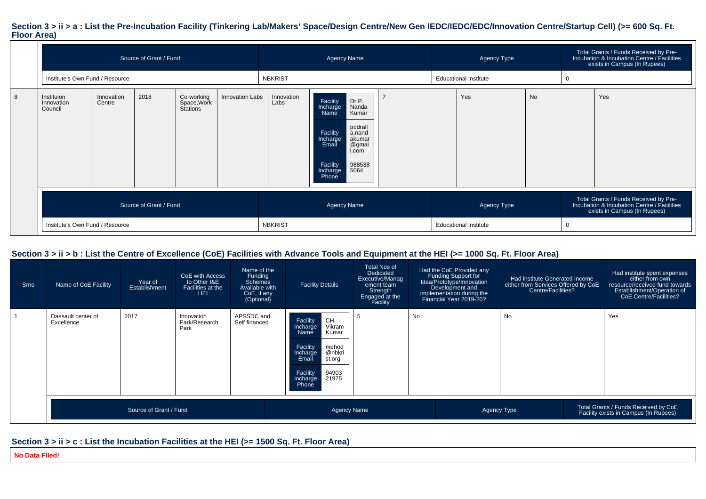|   |                                                                                                              |  | Source of Grant / Fund |  |                        |                    | <b>Agency Name</b>                                                                                                                                                                           |                              | Agency Type |    | Total Grants / Funds Received by Pre-<br>Incubation & Incubation Centre / Facilities<br>exists in Campus (In Rupees) |
|---|--------------------------------------------------------------------------------------------------------------|--|------------------------|--|------------------------|--------------------|----------------------------------------------------------------------------------------------------------------------------------------------------------------------------------------------|------------------------------|-------------|----|----------------------------------------------------------------------------------------------------------------------|
|   | Institute's Own Fund / Resource                                                                              |  |                        |  |                        | <b>NBKRIST</b>     |                                                                                                                                                                                              | <b>Educational Institute</b> |             |    |                                                                                                                      |
| 8 | 2018<br>Co-working<br>Innovation<br>Instituion<br>Space, Work<br>Stations<br>Innovation<br>Centre<br>Council |  |                        |  | <b>Innovation Labs</b> | Innovation<br>Labs | Dr.P.<br>Facility<br>Nanda<br>Kumar<br>Incharge<br>Name<br>podrall<br>Facility<br>a.nand<br>akumar<br>Incharge<br>@gmai<br>Email<br>I.com<br>988538<br>Facility<br>5064<br>Incharge<br>Phone | Yes                          |             | No | Yes                                                                                                                  |
|   |                                                                                                              |  | Source of Grant / Fund |  |                        |                    | <b>Agency Name</b>                                                                                                                                                                           |                              | Agency Type |    | Total Grants / Funds Received by Pre-<br>Incubation & Incubation Centre / Facilities<br>exists in Campus (In Rupees) |
|   | Institute's Own Fund / Resource                                                                              |  |                        |  |                        | <b>NBKRIST</b>     |                                                                                                                                                                                              | <b>Educational Institute</b> |             |    |                                                                                                                      |

### **Section 3 > ii > b : List the Centre of Excellence (CoE) Facilities with Advance Tools and Equipment at the HEI (>= 1000 Sq. Ft. Floor Area)**

| Srno | Name of CoE Facility             | Year of<br>Establishment | CoE with Access<br>to Other I&E<br>Facilities at the<br><b>HEI</b> | Name of the<br>Funding<br><b>Schemes</b><br>Available with<br>CoE, if any<br>(Optional) | <b>Facility Details</b>                                                                                                                                                 | <b>Total Nos of</b><br>Dedicated<br>Executive/Manag<br>ement team<br>Strength<br>Engaged at the<br>Facility |    | Had the CoE Provided any<br>Funding Support for<br>Idea/Prototype/Innovation<br>Development and<br>implementation during the<br>Financial Year 2019-20? | Had institute Generated Income<br>either from Services Offered by CoE<br>Centre/Facilities? | Had institute spent expenses<br>either from own<br>resource/received fund towards<br>Establishment/Operation of<br>CoE Centre/Facilities? |
|------|----------------------------------|--------------------------|--------------------------------------------------------------------|-----------------------------------------------------------------------------------------|-------------------------------------------------------------------------------------------------------------------------------------------------------------------------|-------------------------------------------------------------------------------------------------------------|----|---------------------------------------------------------------------------------------------------------------------------------------------------------|---------------------------------------------------------------------------------------------|-------------------------------------------------------------------------------------------------------------------------------------------|
|      | Dassault center of<br>Excellence | 2017                     | Innovation<br>Park/Research<br>Park                                | APSSDC and<br>Self financed                                                             | CH.<br>Facility<br>Vikram<br>Incharge<br>Kumar<br>Name<br>Facility<br>mehod<br>Incharge<br>@nbkri<br>Email<br>st.org<br>Facility<br>94903<br>21975<br>Incharge<br>Phone | . 5                                                                                                         | No |                                                                                                                                                         | <b>No</b>                                                                                   | Yes                                                                                                                                       |
|      |                                  | Source of Grant / Fund   |                                                                    |                                                                                         | <b>Agency Name</b>                                                                                                                                                      |                                                                                                             |    |                                                                                                                                                         | Agency Type                                                                                 | Total Grants / Funds Received by CoE<br>Facility exists in Campus (In Rupees)                                                             |

### **Section 3 > ii > c : List the Incubation Facilities at the HEI (>= 1500 Sq. Ft. Floor Area)**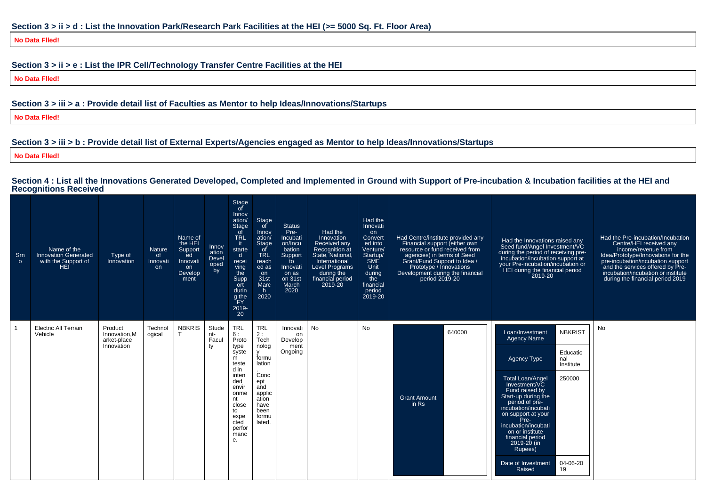**No Data Flled!**

### **Section 3 > ii > e : List the IPR Cell/Technology Transfer Centre Facilities at the HEI**

**No Data Flled!**

### **Section 3 > iii > a : Provide detail list of Faculties as Mentor to help Ideas/Innovations/Startups**

**No Data Flled!**

### **Section 3 > iii > b : Provide detail list of External Experts/Agencies engaged as Mentor to help Ideas/Innovations/Startups**

**No Data Flled!**

### **Section 4 : List all the Innovations Generated Developed, Completed and Implemented in Ground with Support of Pre-incubation & Incubation facilities at the HEI andRecognitions Received**

| Srn<br>$\circ$ | Name of the<br><b>Innovation Generated</b><br>with the Support of<br>HEĽ | Type of<br>Innovation                                | <b>Nature</b><br>of<br>Innovati<br><b>on</b> | Name of<br>the HEI<br>Support<br>ed<br>Innovati<br>on<br>Develop<br>ment | Innov<br>ation<br>Devel<br>oped<br>by | Stage<br>of<br>Innov<br>ation/<br><b>Stage</b><br>of<br><b>TRL</b><br>-it-<br>starte<br>$\mathsf{d}$<br>recei<br>ving<br>the<br>Supp<br>ort<br>durin<br>g the<br>FY<br>2019-<br>20 | Stage<br>of<br>Innov<br>ation/<br>Stage<br>of<br><b>TRL</b><br>reach<br>ed as<br>on<br>31st<br>Marc<br>h.<br>2020                                | <b>Status</b><br>Pre-<br>Incubati<br>on/Incu<br>bation<br>Support<br>to<br>Innovati<br>on as<br>on 31st<br>March<br>2020 | Had the<br>Innovation<br>Received any<br>Recognition at<br>State, National,<br>International<br><b>Level Programs</b><br>during the<br>financial period<br>2019-20 | Had the<br>Innovati<br>on<br>Convert<br>ed into<br>Venture/<br>Startup/<br><b>SME</b><br>Unit<br>during<br>the<br>financial<br>period<br>2019-20 | Had Centre/institute provided any<br>Financial support (either own<br>resource or fund received from<br>agencies) in terms of Seed<br>Grant/Fund Support to Idea /<br>Prototype / Innovations<br>Development during the financial<br>period 2019-20 | Had the Innovations raised any<br>Seed fund/Angel Investment/VC<br>during the period of receiving pre-<br>incubation/incubation support at<br>your Pre-incubation/incubation or<br>HEI during the financial period<br>2019-20                                                                                                                                                                                          | Had the Pre-incubation/Incubation<br>Centre/HEI received any<br>income/revenue from<br>Idea/Prototype/Innovations for the<br>pre-incubation/incubation support<br>and the services offered by Pre-<br>incubation/incubation or institute<br>during the financial period 2019 |
|----------------|--------------------------------------------------------------------------|------------------------------------------------------|----------------------------------------------|--------------------------------------------------------------------------|---------------------------------------|------------------------------------------------------------------------------------------------------------------------------------------------------------------------------------|--------------------------------------------------------------------------------------------------------------------------------------------------|--------------------------------------------------------------------------------------------------------------------------|--------------------------------------------------------------------------------------------------------------------------------------------------------------------|--------------------------------------------------------------------------------------------------------------------------------------------------|-----------------------------------------------------------------------------------------------------------------------------------------------------------------------------------------------------------------------------------------------------|------------------------------------------------------------------------------------------------------------------------------------------------------------------------------------------------------------------------------------------------------------------------------------------------------------------------------------------------------------------------------------------------------------------------|------------------------------------------------------------------------------------------------------------------------------------------------------------------------------------------------------------------------------------------------------------------------------|
|                | <b>Electric All Terrain</b><br>Vehicle                                   | Product<br>Innovation.M<br>arket-place<br>Innovation | Technol<br>ogical                            | <b>NBKRIS</b>                                                            | Stude<br>nt-<br>Facul<br>ty           | <b>TRL</b><br>6:<br>Proto<br>type<br>syste<br>m<br>teste<br>d in<br>inten<br>ded<br>envir<br>onme<br>nt<br>close<br>to<br>expe<br>cted<br>perfor<br>manc<br>е.                     | <b>TRL</b><br>2:<br>Tech<br>nolog<br>$\mathbf{v}$<br>formu<br>lation<br>Conc<br>ept<br>and<br>applic<br>ation<br>have<br>been<br>formu<br>lated. | Innovati<br>on<br>Develop<br>ment<br>Ongoing                                                                             | <b>No</b>                                                                                                                                                          | <b>No</b>                                                                                                                                        | 640000<br><b>Grant Amount</b><br>$in$ Rs                                                                                                                                                                                                            | <b>NBKRIST</b><br>Loan/Investment<br><b>Agency Name</b><br>Educatio<br>Agency Type<br>nal<br>Institute<br>250000<br><b>Total Loan/Angel</b><br>Investment/VC<br>Fund raised by<br>Start-up during the<br>period of pre-<br>incubation/incubati<br>on support at your<br>Pre-<br>incubation/incubati<br>on or institute<br>financial period<br>2019-20 (in<br>Rupees)<br>04-06-20<br>Date of Investment<br>19<br>Raised | <b>No</b>                                                                                                                                                                                                                                                                    |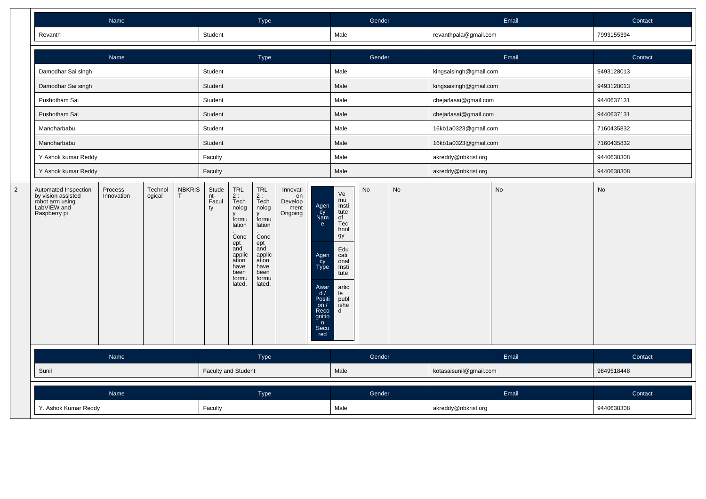|                | Name                                                                                         |                       |                   |                               | Type                                     |                                                                                                                                 |                                                                                                                                    |                                              |                                                                                                                                            | Gender                                                                                                                           |                       |                        |                        | Email      | Contact    |
|----------------|----------------------------------------------------------------------------------------------|-----------------------|-------------------|-------------------------------|------------------------------------------|---------------------------------------------------------------------------------------------------------------------------------|------------------------------------------------------------------------------------------------------------------------------------|----------------------------------------------|--------------------------------------------------------------------------------------------------------------------------------------------|----------------------------------------------------------------------------------------------------------------------------------|-----------------------|------------------------|------------------------|------------|------------|
|                | Revanth                                                                                      |                       |                   |                               | Student                                  |                                                                                                                                 |                                                                                                                                    |                                              |                                                                                                                                            | Male                                                                                                                             |                       |                        | revanthpala@gmail.com  |            | 7993155394 |
|                |                                                                                              | Name                  |                   |                               |                                          |                                                                                                                                 | Type                                                                                                                               |                                              |                                                                                                                                            |                                                                                                                                  | Gender                |                        |                        | Email      | Contact    |
|                | Damodhar Sai singh                                                                           |                       |                   |                               |                                          |                                                                                                                                 |                                                                                                                                    |                                              |                                                                                                                                            | Male                                                                                                                             |                       |                        | kingsaisingh@gmail.com |            | 9493128013 |
|                | Damodhar Sai singh                                                                           |                       |                   |                               | Student                                  |                                                                                                                                 |                                                                                                                                    |                                              | Male                                                                                                                                       |                                                                                                                                  |                       | kingsaisingh@gmail.com |                        | 9493128013 |            |
|                | Pushotham Sai                                                                                |                       |                   |                               | Student<br>Student<br>Student<br>Student |                                                                                                                                 |                                                                                                                                    | Male                                         |                                                                                                                                            |                                                                                                                                  | chejarlasai@gmail.com |                        | 9440637131             |            |            |
|                | Pushotham Sai                                                                                |                       |                   |                               |                                          |                                                                                                                                 |                                                                                                                                    | Male                                         |                                                                                                                                            |                                                                                                                                  | chejarlasai@gmail.com |                        | 9440637131             |            |            |
|                | Manoharbabu                                                                                  |                       |                   |                               |                                          |                                                                                                                                 |                                                                                                                                    | Male<br>Male                                 |                                                                                                                                            |                                                                                                                                  | 16kb1a0323@gmail.com  |                        | 7160435832             |            |            |
|                | Manoharbabu                                                                                  |                       |                   |                               |                                          |                                                                                                                                 |                                                                                                                                    |                                              |                                                                                                                                            |                                                                                                                                  | 16kb1a0323@gmail.com  |                        | 7160435832             |            |            |
|                | Y Ashok kumar Reddy                                                                          |                       | Faculty           |                               |                                          |                                                                                                                                 |                                                                                                                                    | Male                                         |                                                                                                                                            |                                                                                                                                  | akreddy@nbkrist.org   |                        | 9440638308             |            |            |
|                | Y Ashok kumar Reddy                                                                          | Faculty               |                   |                               |                                          | Male                                                                                                                            |                                                                                                                                    |                                              | akreddy@nbkrist.org                                                                                                                        |                                                                                                                                  | 9440638308            |                        |                        |            |            |
| $\overline{2}$ | Automated Inspection<br>by vision assisted<br>robot arm using<br>LabVIEW and<br>Raspberry pi | Process<br>Innovation | Technol<br>ogical | <b>NBKRIS</b><br>$\mathsf{T}$ | Stude<br>nt-<br>Facul<br>ty              | TRL<br>2 :<br>Tech<br>nolog<br>V<br>formu<br>lation<br>Conc<br>ept<br>and<br>applic<br>ation<br>have<br>been<br>formu<br>lated. | <b>TRL</b><br>$2:$<br>Tech<br>nolog<br>formu<br>lation<br>Conc<br>ept<br>and<br>applic<br>ation<br>have<br>been<br>formu<br>lated. | Innovati<br>on<br>Develop<br>ment<br>Ongoing | Agen<br>$\frac{\text{cy}}{\text{Nam}}$<br>e<br>Agen<br>Cy<br>Type<br>Awar<br>d /<br>Positi<br>on $/$<br>Reco<br>gnitio<br>n<br>Secu<br>red | Ve<br>mu<br>Insti<br>tute<br>of<br>Tec<br>hnol<br>gy<br>Edu<br>cati<br>onal<br>Insti<br>tute<br>artic<br>le<br>publ<br>ishe<br>d | <b>No</b>             | No                     |                        | No         | No         |
|                | Name                                                                                         |                       |                   |                               |                                          |                                                                                                                                 | Type                                                                                                                               |                                              |                                                                                                                                            |                                                                                                                                  | Gender                |                        |                        | Email      | Contact    |
|                | Sunil                                                                                        |                       |                   |                               | <b>Faculty and Student</b>               |                                                                                                                                 |                                                                                                                                    |                                              |                                                                                                                                            | Male                                                                                                                             |                       | kotasaisunil@gmail.com |                        | 9849518448 |            |
|                |                                                                                              | Name                  |                   |                               |                                          |                                                                                                                                 | Type                                                                                                                               |                                              |                                                                                                                                            |                                                                                                                                  | Gender                |                        |                        | Email      | Contact    |
|                | Y. Ashok Kumar Reddy                                                                         |                       |                   |                               |                                          |                                                                                                                                 |                                                                                                                                    |                                              |                                                                                                                                            | Male                                                                                                                             |                       |                        | akreddy@nbkrist.org    |            | 9440638308 |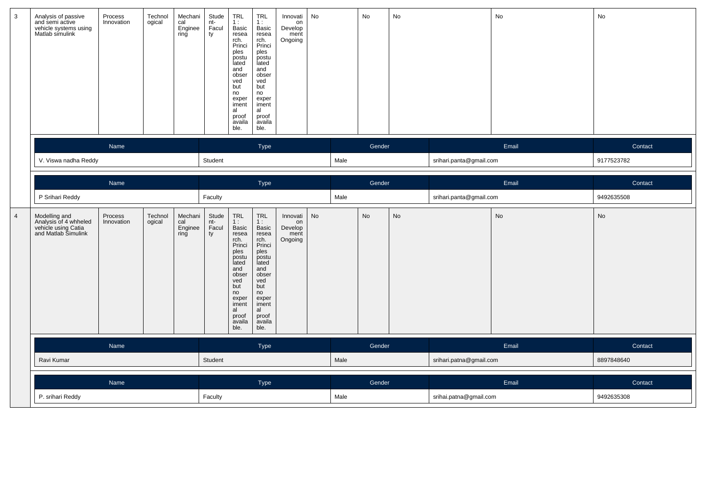| 3              | Analysis of passive<br>and semi active<br>vehicle systems using<br>Matlab simulink   | Process<br>Innovation        | Technol<br>ogical | Mechani<br>cal<br>Enginee<br>ring | Stude<br>nt-<br>Facul<br>ty | TRL<br>1:<br>Basic<br>resea<br>rch.<br>Princi<br>ples<br>postu<br>lated<br>and<br>obser<br>ved<br>but<br>no<br>exper<br>iment<br>al<br>proof<br>availa<br>ble. | TRL<br>1:<br><b>Basic</b><br>resea<br>rch.<br>Princi<br>ples<br>postu<br>lated<br>and<br>obser<br>ved<br>but<br>no<br>exper<br>iment<br>al<br>proof<br>availa<br>ble.        | Innovati<br>on<br>Develop<br>ment<br>Ongoing | No   |      | No     | No                      |                         | No         | No            |  |
|----------------|--------------------------------------------------------------------------------------|------------------------------|-------------------|-----------------------------------|-----------------------------|----------------------------------------------------------------------------------------------------------------------------------------------------------------|------------------------------------------------------------------------------------------------------------------------------------------------------------------------------|----------------------------------------------|------|------|--------|-------------------------|-------------------------|------------|---------------|--|
|                |                                                                                      | Name<br>V. Viswa nadha Reddy |                   |                                   | Type                        |                                                                                                                                                                |                                                                                                                                                                              |                                              |      |      | Gender |                         |                         | Email      | Contact       |  |
|                |                                                                                      |                              |                   |                                   | Student                     |                                                                                                                                                                |                                                                                                                                                                              |                                              | Male |      |        | srihari.panta@gmail.com |                         | 9177523782 |               |  |
|                |                                                                                      |                              |                   |                                   |                             |                                                                                                                                                                |                                                                                                                                                                              |                                              |      |      |        |                         |                         |            |               |  |
|                |                                                                                      | Name                         |                   |                                   |                             |                                                                                                                                                                | Type                                                                                                                                                                         |                                              |      |      | Gender |                         |                         | Email      | Contact       |  |
|                | P Srihari Reddy                                                                      |                              |                   |                                   | Faculty                     |                                                                                                                                                                |                                                                                                                                                                              |                                              |      | Male |        |                         | srihari.panta@gmail.com |            | 9492635508    |  |
| $\overline{4}$ | Modelling and<br>Analysis of 4 whheled<br>vehicle using Catia<br>and Matlab Simulink | Process<br>Innovation        | Technol<br>ogical | Mechani<br>cal<br>Enginee<br>ring | Stude<br>nt-<br>Facul<br>ty | TRL<br>1:<br>Basic<br>resea<br>rch.<br>Princi<br>ples<br>postu<br>lated<br>and<br>obser<br>ved<br>but<br>no<br>exper<br>iment<br>al<br>proof<br>availa<br>ble. | <b>TRL</b><br>1:<br><b>Basic</b><br>resea<br>rch.<br>Princi<br>ples<br>postu<br>lated<br>and<br>obser<br>ved<br>but<br>no<br>exper<br>iment<br>al<br>proof<br>availa<br>ble. | Innovati<br>on<br>Develop<br>ment<br>Ongoing | No   |      | No     | No                      |                         | No         | $\mathsf{No}$ |  |
|                |                                                                                      | Name                         |                   |                                   |                             |                                                                                                                                                                | Type                                                                                                                                                                         |                                              |      |      | Gender |                         |                         | Email      | Contact       |  |
|                | Ravi Kumar                                                                           |                              |                   |                                   | Student                     |                                                                                                                                                                |                                                                                                                                                                              |                                              | Male |      |        | srihari.patna@gmail.com |                         | 8897848640 |               |  |
|                |                                                                                      | Name                         |                   |                                   |                             |                                                                                                                                                                | Type                                                                                                                                                                         |                                              |      |      | Gender |                         | Email                   |            | Contact       |  |
|                | P. srihari Reddy                                                                     |                              |                   |                                   | Faculty                     |                                                                                                                                                                |                                                                                                                                                                              |                                              |      | Male |        |                         | srihai.patna@gmail.com  |            | 9492635308    |  |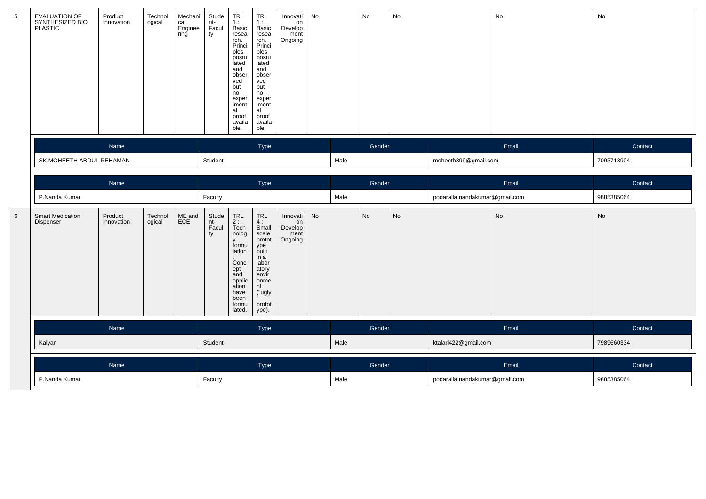| 5 | EVALUATION OF<br>SYNTHESIZED BIO<br>PLASTIC | Product<br>Innovation | Technol<br>ogical | Mechani<br>cal<br>Enginee<br>ring | Stude<br>nt-<br>Facul<br>ty | TRL<br>1:<br>Basic<br>resea<br>rch.<br>Princi<br>ples<br>postu<br>lated<br>and<br>obser<br>ved<br>but<br>no<br>exper<br>iment<br>al<br>proof<br>availa<br>ble. | <b>TRL</b><br>1:<br>Basic<br>resea<br>rch.<br>Princi<br>ples<br>postu<br>lated<br>and<br>obser<br>ved<br>but<br>no<br>exper<br>iment<br>al<br>proof<br>availa<br>ble. | Innovati<br>on<br>Develop<br>ment<br>Ongoing | No |        | No                           | No                             |                                | No         | No         |  |
|---|---------------------------------------------|-----------------------|-------------------|-----------------------------------|-----------------------------|----------------------------------------------------------------------------------------------------------------------------------------------------------------|-----------------------------------------------------------------------------------------------------------------------------------------------------------------------|----------------------------------------------|----|--------|------------------------------|--------------------------------|--------------------------------|------------|------------|--|
|   |                                             | Name                  |                   |                                   | Type                        |                                                                                                                                                                |                                                                                                                                                                       |                                              |    | Gender |                              |                                |                                | Email      | Contact    |  |
|   | SK.MOHEETH ABDUL REHAMAN                    |                       |                   |                                   | Student                     |                                                                                                                                                                |                                                                                                                                                                       |                                              |    | Male   |                              |                                | moheeth399@gmail.com           |            | 7093713904 |  |
|   |                                             | Name                  |                   |                                   | Type                        |                                                                                                                                                                |                                                                                                                                                                       |                                              |    | Gender |                              |                                |                                | Email      | Contact    |  |
|   | P.Nanda Kumar                               |                       |                   |                                   | Faculty                     |                                                                                                                                                                |                                                                                                                                                                       |                                              |    | Male   |                              |                                | podaralla.nandakumar@gmail.com |            | 9885385064 |  |
| 6 | <b>Smart Medication</b><br>Dispenser        | Product<br>Innovation | Technol<br>ogical | ME and<br>ECE                     | Stude<br>nt-<br>Facul<br>ty | TRL<br>2 :<br>Tech<br>nolog<br>formu<br>lation<br>.<br>Conc<br>ept<br>and<br>applic<br>ation<br>have<br>been<br>formu<br>lated.                                | $\ensuremath{\mathsf{TRL}}$<br>4:<br>Small<br>scale<br>protot<br>ype<br>built<br>in a<br>labor<br>atory<br>envir<br>onme<br>nt<br>("ugly<br>protot<br>ype).           | Innovati<br>on<br>Develop<br>ment<br>Ongoing | No |        | $\operatorname{\mathsf{No}}$ | No                             |                                | No         | No         |  |
|   |                                             | Name                  |                   |                                   |                             |                                                                                                                                                                | Type                                                                                                                                                                  |                                              |    |        | Gender                       |                                |                                | Email      | Contact    |  |
|   | Kalyan                                      |                       |                   |                                   | Student                     |                                                                                                                                                                |                                                                                                                                                                       |                                              |    | Male   |                              |                                | ktalari422@gmail.com           |            | 7989660334 |  |
|   |                                             | Name                  |                   |                                   |                             |                                                                                                                                                                | Type                                                                                                                                                                  |                                              |    |        | Gender                       |                                |                                | Email      | Contact    |  |
|   | P.Nanda Kumar                               |                       |                   |                                   | Faculty                     |                                                                                                                                                                |                                                                                                                                                                       |                                              |    | Male   |                              | podaralla.nandakumar@gmail.com |                                | 9885385064 |            |  |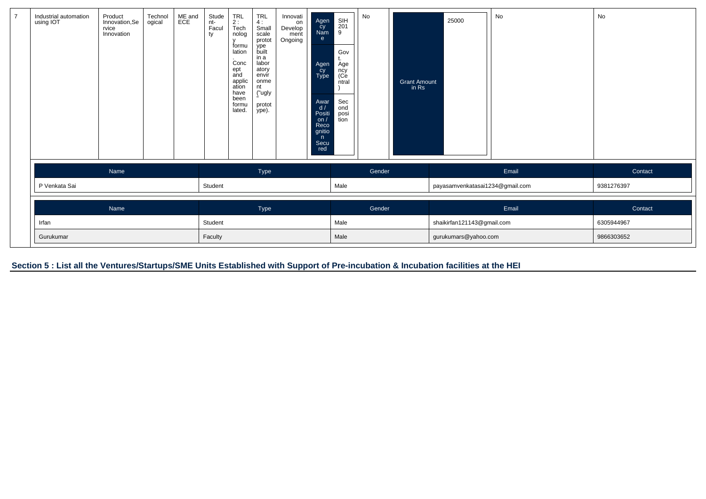| $\overline{7}$ | Industrial automation<br>using IOT | Product<br>Innovation, Se<br>rvice<br>Innovation | Technol<br>ogical | ME and<br>ECE        | Stude<br>nt-<br>Facul<br>ty | TRL<br>2 :<br>Tech<br>nolog<br>У<br>formu<br>lation<br>$\bullet$<br>Conc<br>ept<br>and<br>applic<br>ation<br>have<br>been<br>formu<br>lated. | <b>TRL</b><br>4:<br>Small<br>scale<br>protot<br>ype<br>built<br>in a<br>labor<br>atory<br>envir<br>onme<br>nt<br>("ugly<br>protot<br>ype). | Innovati<br>on<br>Develop<br>ment<br>Ongoing | Agen<br>cy<br>Nam<br>e.<br>Agen<br>cy<br>Type<br>Awar<br>d/<br>Positi<br>on/<br>Reco<br>gnitio<br>n<br>Secu<br>red | SIH<br>201<br>9<br>Gov<br>Age<br>ncy<br>(Ce<br>ntral<br>Sec<br>ond<br>posi<br>tion | No | Grant Amount<br>in Rs      | 25000                           | No | No         |
|----------------|------------------------------------|--------------------------------------------------|-------------------|----------------------|-----------------------------|----------------------------------------------------------------------------------------------------------------------------------------------|--------------------------------------------------------------------------------------------------------------------------------------------|----------------------------------------------|--------------------------------------------------------------------------------------------------------------------|------------------------------------------------------------------------------------|----|----------------------------|---------------------------------|----|------------|
|                |                                    | Name                                             |                   |                      | Type                        |                                                                                                                                              |                                                                                                                                            |                                              |                                                                                                                    | Gender                                                                             |    |                            | Email                           |    | Contact    |
|                | P Venkata Sai                      |                                                  |                   |                      | Student                     |                                                                                                                                              |                                                                                                                                            |                                              |                                                                                                                    | Male                                                                               |    |                            | payasamvenkatasai1234@gmail.com |    | 9381276397 |
|                | Name                               |                                                  |                   |                      | Type                        |                                                                                                                                              |                                                                                                                                            |                                              |                                                                                                                    | Gender                                                                             |    |                            | Email                           |    | Contact    |
|                | Irfan                              |                                                  |                   |                      | Student<br>Faculty          |                                                                                                                                              |                                                                                                                                            |                                              | Male<br>Male                                                                                                       |                                                                                    |    | shaikirfan121143@gmail.com | 6305944967                      |    |            |
|                | Gurukumar                          |                                                  |                   | gurukumars@yahoo.com |                             |                                                                                                                                              |                                                                                                                                            |                                              |                                                                                                                    |                                                                                    |    | 9866303652                 |                                 |    |            |

**Section 5 : List all the Ventures/Startups/SME Units Established with Support of Pre-incubation & Incubation facilities at the HEI**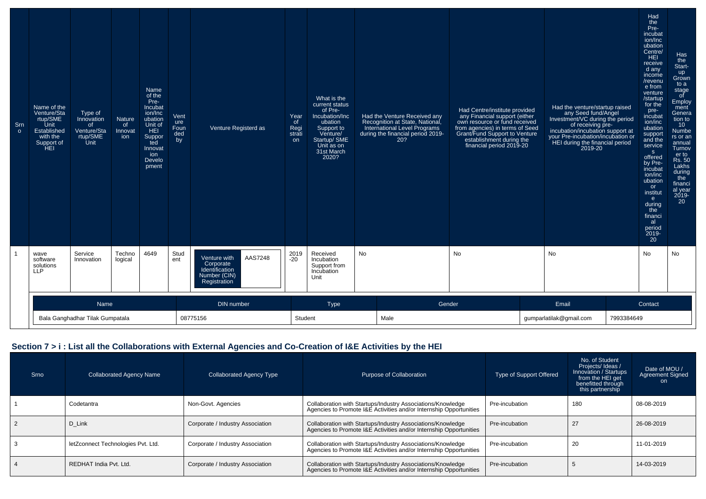| Srn<br>$\circ$ | Name of the<br>Venture/Sta<br>rtup/SME<br>Unit<br>Established<br>with the<br>Support of<br>HEI | Type of<br>Innovation<br>of<br>Venture/Sta<br>rtup/SME<br>Unit | <b>Nature</b><br>of<br>Innovat<br>ion | Name<br>of the<br>Pre-<br>Incubat<br>ion/Inc<br>ubation<br>Unit of<br>HEI<br>Suppor<br>ted<br>Innovat<br>ion<br>Develo<br>pment | Vent<br>ure<br>Foun<br>ded<br>by | Venture Registerd as                                                                   | Year<br>of<br>Regi<br>strati<br>on | What is the<br>current status<br>of Pre-<br>Incubation/Inc<br>ubation<br>Support to<br>Venture/<br>Startup/ SME<br>Unit as on<br>31st March<br>2020? | Had the Venture Received any<br>Recognition at State, National,<br>International Level Programs<br>during the financial period 2019-<br>20? | Had Centre/institute provided<br>any Financial support (either<br>own resource or fund received<br>from agencies) in terms of Seed<br>Grant/Fund Support to Venture<br>establishment during the<br>financial period 2019-20 | Had the venture/startup raised<br>any Seed fund/Angel<br>Investment/VC during the period<br>of receiving pre-<br>incubation/incubation support at<br>your Pre-incubation/incubation or<br>HEI during the financial period<br>2019-20 | Had<br>the<br>Pre-<br>incubat<br>ion/Inc<br>ubation<br>Centre/<br>HEI<br>receive<br>d any<br>income<br>/revenu<br>e from<br>venture<br>/startup<br>for the<br>pre-<br>incubat<br>ion/inc<br>ubation<br>support<br>and the<br>service<br>s<br>offered<br>by Pre-<br>incubat<br>ion/inc<br>ubation<br><b>or</b><br>institut<br>e<br>during<br>the<br>financi<br>al<br>period<br>2019-<br>20 | Has<br>the<br>Start-<br>up<br>Grown<br>to a<br>stage<br>of<br>Employ<br>ment<br>Genera<br>tion to<br>10 <sup>°</sup><br><b>Numbe</b><br>rs or an<br>annual<br>Turnov<br>er to<br><b>Rs. 50</b><br>Lakhs<br>during<br>the<br>financi<br>al year<br>2019-<br>20 |
|----------------|------------------------------------------------------------------------------------------------|----------------------------------------------------------------|---------------------------------------|---------------------------------------------------------------------------------------------------------------------------------|----------------------------------|----------------------------------------------------------------------------------------|------------------------------------|------------------------------------------------------------------------------------------------------------------------------------------------------|---------------------------------------------------------------------------------------------------------------------------------------------|-----------------------------------------------------------------------------------------------------------------------------------------------------------------------------------------------------------------------------|--------------------------------------------------------------------------------------------------------------------------------------------------------------------------------------------------------------------------------------|-------------------------------------------------------------------------------------------------------------------------------------------------------------------------------------------------------------------------------------------------------------------------------------------------------------------------------------------------------------------------------------------|---------------------------------------------------------------------------------------------------------------------------------------------------------------------------------------------------------------------------------------------------------------|
|                | wave<br>software<br>solutions<br><b>LLP</b>                                                    | Service<br>Innovation                                          | Techno<br>logical                     | 4649                                                                                                                            | Stud<br>ent                      | AAS7248<br>Venture with<br>Corporate<br>Identification<br>Number (CIN)<br>Registration | 2019<br>-20                        | Received<br>Incubation<br>Support from<br>Incubation<br>Unit                                                                                         | No                                                                                                                                          | No                                                                                                                                                                                                                          | No                                                                                                                                                                                                                                   | No                                                                                                                                                                                                                                                                                                                                                                                        | No                                                                                                                                                                                                                                                            |
|                | Name<br>DIN number<br>Bala Ganghadhar Tilak Gumpatala<br>08775156                              |                                                                |                                       |                                                                                                                                 |                                  |                                                                                        | Student                            | <b>Type</b>                                                                                                                                          | Gender<br>Male                                                                                                                              | Email<br>Contact<br>7993384649<br>gumparlatilak@gmail.com                                                                                                                                                                   |                                                                                                                                                                                                                                      |                                                                                                                                                                                                                                                                                                                                                                                           |                                                                                                                                                                                                                                                               |

## **Section 7 > i : List all the Collaborations with External Agencies and Co-Creation of I&E Activities by the HEI**

| Srno | <b>Collaborated Agency Name</b>    | <b>Collaborated Agency Type</b>  | Purpose of Collaboration                                                                                                          | Type of Support Offered | No. of Student<br>Projects/ Ideas /<br>Innovation / Startups<br>from the HEI get<br>benefitted through<br>this partnership | Date of MOU /<br><b>Agreement Signed</b><br>on |
|------|------------------------------------|----------------------------------|-----------------------------------------------------------------------------------------------------------------------------------|-------------------------|----------------------------------------------------------------------------------------------------------------------------|------------------------------------------------|
|      | Codetantra                         | Non-Govt. Agencies               | Collaboration with Startups/Industry Associations/Knowledge<br>Agencies to Promote I&E Activities and/or Internship Opportunities | Pre-incubation          | 180                                                                                                                        | 08-08-2019                                     |
|      | D Link                             | Corporate / Industry Association | Collaboration with Startups/Industry Associations/Knowledge<br>Agencies to Promote I&E Activities and/or Internship Opportunities | Pre-incubation          | 27                                                                                                                         | 26-08-2019                                     |
|      | letZconnect Technologies Pvt. Ltd. | Corporate / Industry Association | Collaboration with Startups/Industry Associations/Knowledge<br>Agencies to Promote I&E Activities and/or Internship Opportunities | Pre-incubation          | 20                                                                                                                         | 11-01-2019                                     |
|      | REDHAT India Pvt. Ltd.             | Corporate / Industry Association | Collaboration with Startups/Industry Associations/Knowledge<br>Agencies to Promote I&E Activities and/or Internship Opportunities | Pre-incubation          |                                                                                                                            | 14-03-2019                                     |